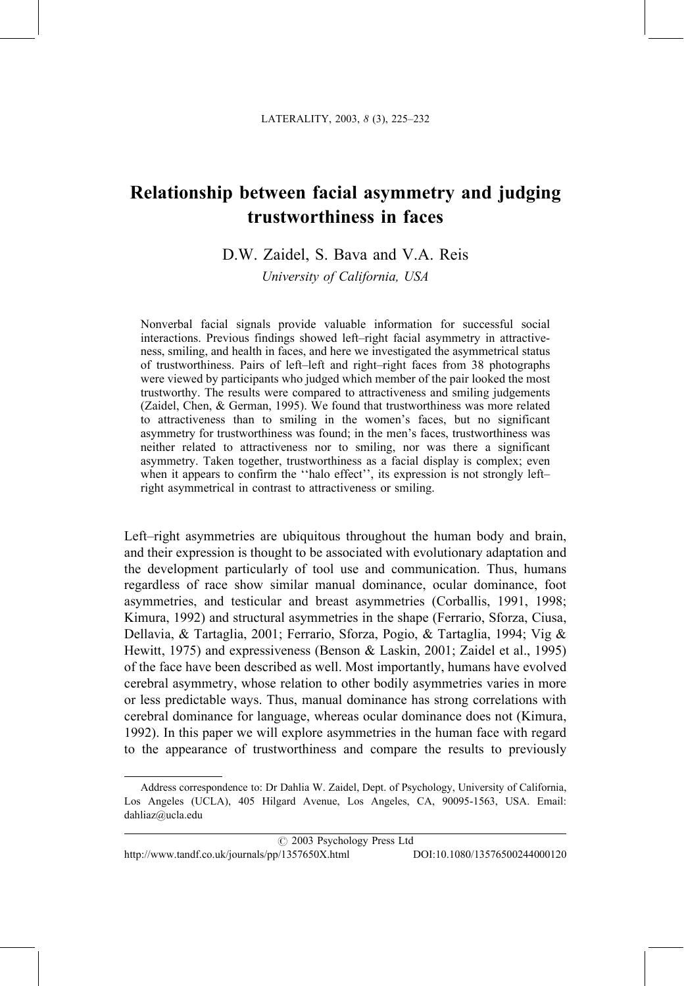# Relationship between facial asymmetry and judging trustworthiness in faces

# D.W. Zaidel, S. Bava and V.A. Reis

University of California, USA

Nonverbal facial signals provide valuable information for successful social interactions. Previous findings showed left-right facial asymmetry in attractiveness, smiling, and health in faces, and here we investigated the asymmetrical status of trustworthiness. Pairs of left-left and right-right faces from 38 photographs were viewed by participants who judged which member of the pair looked the most trustworthy. The results were compared to attractiveness and smiling judgements (Zaidel, Chen, & German, 1995). We found that trustworthiness was more related to attractiveness than to smiling in the women's faces, but no significant asymmetry for trustworthiness was found; in the men's faces, trustworthiness was neither related to attractiveness nor to smiling, nor was there a significant asymmetry. Taken together, trustworthiness as a facial display is complex; even when it appears to confirm the "halo effect", its expression is not strongly leftright asymmetrical in contrast to attractiveness or smiling.

Left-right asymmetries are ubiquitous throughout the human body and brain, and their expression is thought to be associated with evolutionary adaptation and the development particularly of tool use and communication. Thus, humans regardless of race show similar manual dominance, ocular dominance, foot asymmetries, and testicular and breast asymmetries (Corballis, 1991, 1998; Kimura, 1992) and structural asymmetries in the shape (Ferrario, Sforza, Ciusa, Dellavia, & Tartaglia, 2001; Ferrario, Sforza, Pogio, & Tartaglia, 1994; Vig & Hewitt, 1975) and expressiveness (Benson & Laskin, 2001; Zaidel et al., 1995) of the face have been described as well. Most importantly, humans have evolved cerebral asymmetry, whose relation to other bodily asymmetries varies in more or less predictable ways. Thus, manual dominance has strong correlations with cerebral dominance for language, whereas ocular dominance does not (Kimura, 1992). In this paper we will explore asymmetries in the human face with regard to the appearance of trustworthiness and compare the results to previously

Address correspondence to: Dr Dahlia W. Zaidel, Dept. of Psychology, University of California, Los Angeles (UCLA), 405 Hilgard Avenue, Los Angeles, CA, 90095-1563, USA. Email: dahliaz@ucla.edu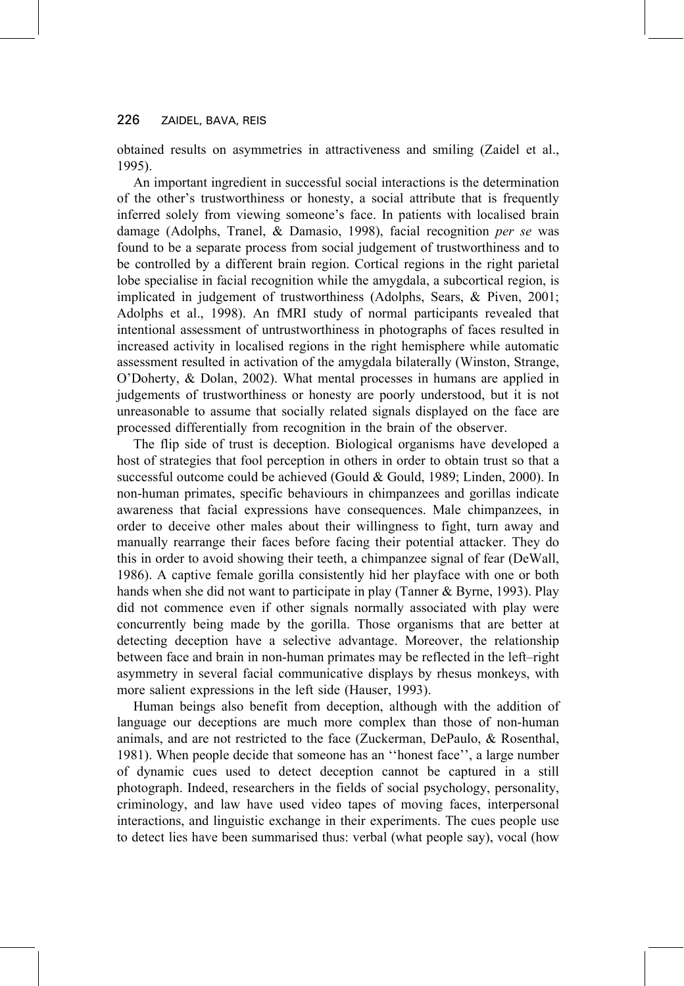obtained results on asymmetries in attractiveness and smiling (Zaidel et al., 1995).

An important ingredient in successful social interactions is the determination of the other's trustworthiness or honesty, a social attribute that is frequently inferred solely from viewing someone's face. In patients with localised brain damage (Adolphs, Tranel, & Damasio, 1998), facial recognition per se was found to be a separate process from social judgement of trustworthiness and to be controlled by a different brain region. Cortical regions in the right parietal lobe specialise in facial recognition while the amygdala, a subcortical region, is implicated in judgement of trustworthiness (Adolphs, Sears, & Piven, 2001; Adolphs et al., 1998). An fMRI study of normal participants revealed that intentional assessment of untrustworthiness in photographs of faces resulted in increased activity in localised regions in the right hemisphere while automatic assessment resulted in activation of the amygdala bilaterally (Winston, Strange, O'Doherty,  $\&$  Dolan, 2002). What mental processes in humans are applied in judgements of trustworthiness or honesty are poorly understood, but it is not unreasonable to assume that socially related signals displayed on the face are processed differentially from recognition in the brain of the observer.

The flip side of trust is deception. Biological organisms have developed a host of strategies that fool perception in others in order to obtain trust so that a successful outcome could be achieved (Gould & Gould, 1989; Linden, 2000). In non-human primates, specific behaviours in chimpanzees and gorillas indicate awareness that facial expressions have consequences. Male chimpanzees, in order to deceive other males about their willingness to fight, turn away and manually rearrange their faces before facing their potential attacker. They do this in order to avoid showing their teeth, a chimpanzee signal of fear (DeWall, 1986). A captive female gorilla consistently hid her playface with one or both hands when she did not want to participate in play (Tanner & Byrne, 1993). Play did not commence even if other signals normally associated with play were concurrently being made by the gorilla. Those organisms that are better at detecting deception have a selective advantage. Moreover, the relationship between face and brain in non-human primates may be reflected in the left-right asymmetry in several facial communicative displays by rhesus monkeys, with more salient expressions in the left side (Hauser, 1993).

Human beings also benefit from deception, although with the addition of language our deceptions are much more complex than those of non-human animals, and are not restricted to the face (Zuckerman, DePaulo, & Rosenthal, 1981). When people decide that someone has an "honest face", a large number of dynamic cues used to detect deception cannot be captured in a still photograph. Indeed, researchers in the fields of social psychology, personality, criminology, and law have used video tapes of moving faces, interpersonal interactions, and linguistic exchange in their experiments. The cues people use to detect lies have been summarised thus: verbal (what people say), vocal (how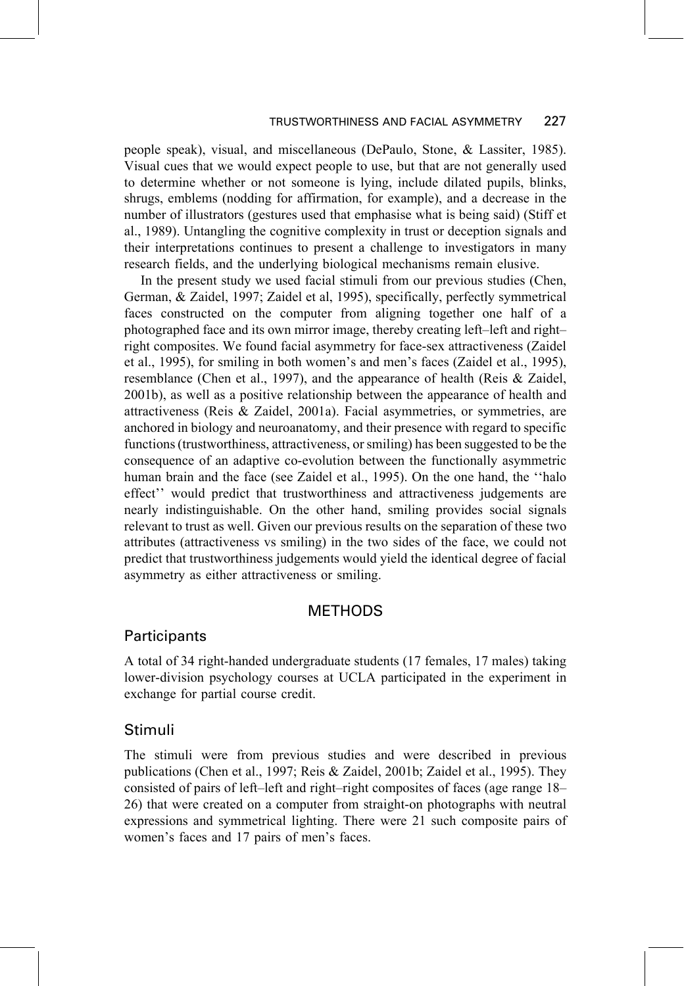#### TRUSTWORTHINESS AND FACIAL ASYMMETRY 227

people speak), visual, and miscellaneous (DePaulo, Stone, & Lassiter, 1985). Visual cues that we would expect people to use, but that are not generally used to determine whether or not someone is lying, include dilated pupils, blinks, shrugs, emblems (nodding for affirmation, for example), and a decrease in the number of illustrators (gestures used that emphasise what is being said) (Stiff et al., 1989). Untangling the cognitive complexity in trust or deception signals and their interpretations continues to present a challenge to investigators in many research fields, and the underlying biological mechanisms remain elusive.

In the present study we used facial stimuli from our previous studies (Chen, German, & Zaidel, 1997; Zaidel et al, 1995), specifically, perfectly symmetrical faces constructed on the computer from aligning together one half of a photographed face and its own mirror image, thereby creating left-left and rightright composites. We found facial asymmetry for face-sex attractiveness (Zaidel et al., 1995), for smiling in both women's and men's faces (Zaidel et al., 1995), resemblance (Chen et al., 1997), and the appearance of health (Reis & Zaidel, 2001b), as well as a positive relationship between the appearance of health and attractiveness (Reis & Zaidel, 2001a). Facial asymmetries, or symmetries, are anchored in biology and neuroanatomy, and their presence with regard to specific functions (trustworthiness, attractiveness, or smiling) has been suggested to be the consequence of an adaptive co-evolution between the functionally asymmetric human brain and the face (see Zaidel et al., 1995). On the one hand, the "halo effect" would predict that trustworthiness and attractiveness judgements are nearly indistinguishable. On the other hand, smiling provides social signals relevant to trust as well. Given our previous results on the separation of these two attributes (attractiveness vs smiling) in the two sides of the face, we could not predict that trustworthiness judgements would yield the identical degree of facial asymmetry as either attractiveness or smiling.

## **METHODS**

### Participants

A total of 34 right-handed undergraduate students (17 females, 17 males) taking lower-division psychology courses at UCLA participated in the experiment in exchange for partial course credit.

### Stimuli

The stimuli were from previous studies and were described in previous publications (Chen et al., 1997; Reis & Zaidel, 2001b; Zaidel et al., 1995). They consisted of pairs of left-left and right-right composites of faces (age range 18– 26) that were created on a computer from straight-on photographs with neutral expressions and symmetrical lighting. There were 21 such composite pairs of women's faces and 17 pairs of men's faces.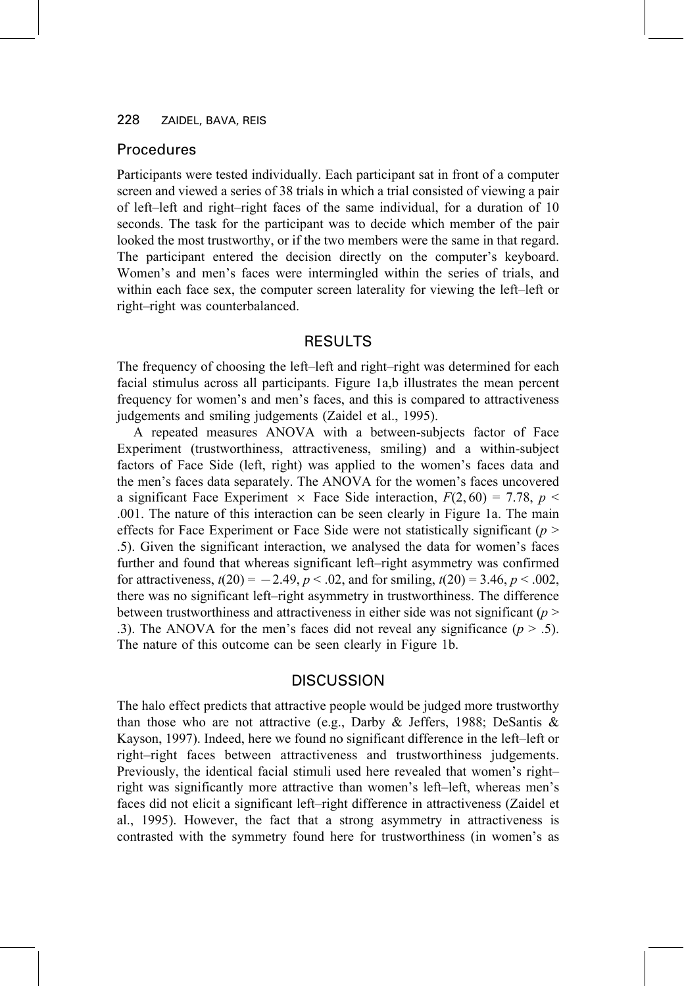### Procedures

Participants were tested individually. Each participant sat in front of a computer screen and viewed a series of 38 trials in which a trial consisted of viewing a pair of left-left and right-right faces of the same individual, for a duration of 10 seconds. The task for the participant was to decide which member of the pair looked the most trustworthy, or if the two members were the same in that regard. The participant entered the decision directly on the computer's keyboard. Women's and men's faces were intermingled within the series of trials, and within each face sex, the computer screen laterality for viewing the left-left or right-right was counterbalanced.

# **RESULTS**

The frequency of choosing the left-left and right-right was determined for each facial stimulus across all participants. Figure 1a,b illustrates the mean percent frequency for women's and men's faces, and this is compared to attractiveness judgements and smiling judgements (Zaidel et al., 1995).

A repeated measures ANOVA with a between-subjects factor of Face Experiment (trustworthiness, attractiveness, smiling) and a within-subject factors of Face Side (left, right) was applied to the women's faces data and the men's faces data separately. The ANOVA for the women's faces uncovered a significant Face Experiment  $\times$  Face Side interaction,  $F(2,60) = 7.78$ ,  $p \le$ .001. The nature of this interaction can be seen clearly in Figure 1a. The main effects for Face Experiment or Face Side were not statistically significant ( $p$  > .5). Given the significant interaction, we analysed the data for women's faces further and found that whereas significant left-right asymmetry was confirmed for attractiveness,  $t(20) = -2.49$ ,  $p < .02$ , and for smiling,  $t(20) = 3.46$ ,  $p < .002$ , there was no significant left-right asymmetry in trustworthiness. The difference between trustworthiness and attractiveness in either side was not significant ( $p$ ) .3). The ANOVA for the men's faces did not reveal any significance ( $p > .5$ ). The nature of this outcome can be seen clearly in Figure 1b.

### **DISCUSSION**

The halo effect predicts that attractive people would be judged more trustworthy than those who are not attractive (e.g., Darby & Jeffers, 1988; DeSantis & Kayson, 1997). Indeed, here we found no significant difference in the left-left or right-right faces between attractiveness and trustworthiness judgements. Previously, the identical facial stimuli used here revealed that women's rightright was significantly more attractive than women's left-left, whereas men's faces did not elicit a significant left-right difference in attractiveness (Zaidel et al., 1995). However, the fact that a strong asymmetry in attractiveness is contrasted with the symmetry found here for trustworthiness (in women's as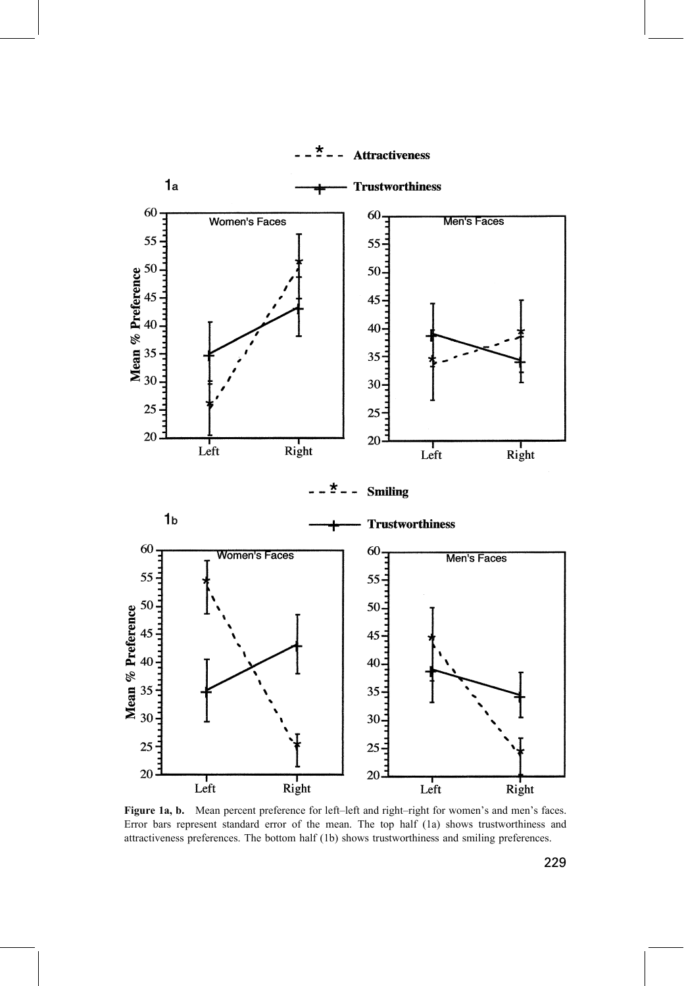

 $-22 - 1$ **Attractiveness** 

Figure 1a, b. Mean percent preference for left-left and right-right for women's and men's faces. Error bars represent standard error of the mean. The top half (1a) shows trustworthiness and attractiveness preferences. The bottom half (1b) shows trustworthiness and smiling preferences.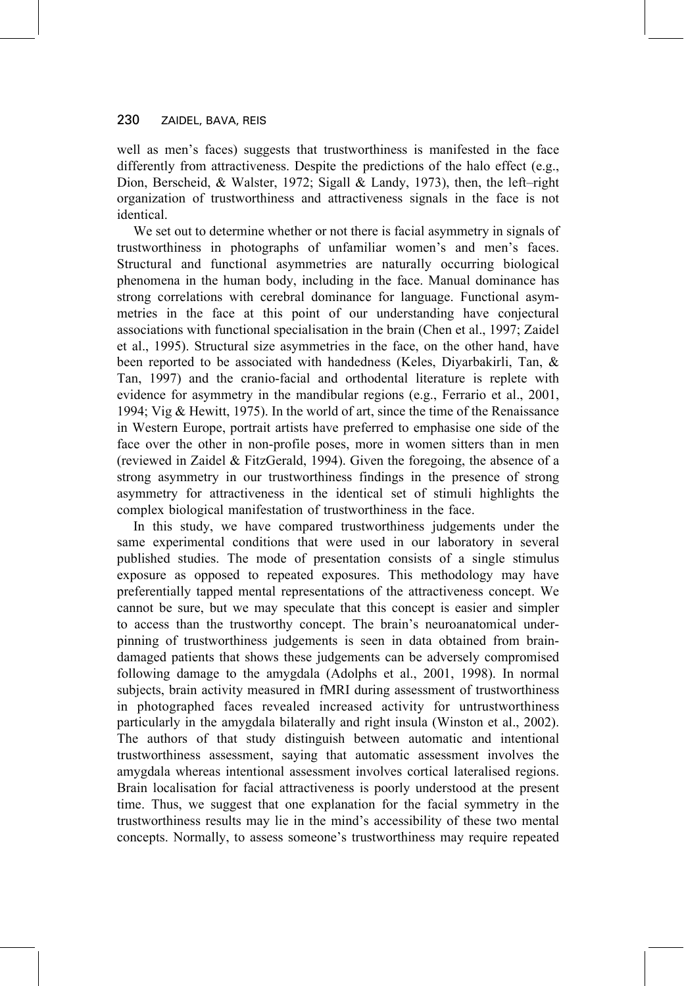well as men's faces) suggests that trustworthiness is manifested in the face differently from attractiveness. Despite the predictions of the halo effect (e.g., Dion, Berscheid, & Walster, 1972; Sigall & Landy, 1973), then, the left-right organization of trustworthiness and attractiveness signals in the face is not identical.

We set out to determine whether or not there is facial asymmetry in signals of trustworthiness in photographs of unfamiliar women's and men's faces. Structural and functional asymmetries are naturally occurring biological phenomena in the human body, including in the face. Manual dominance has strong correlations with cerebral dominance for language. Functional asymmetries in the face at this point of our understanding have conjectural associations with functional specialisation in the brain (Chen et al., 1997; Zaidel et al., 1995). Structural size asymmetries in the face, on the other hand, have been reported to be associated with handedness (Keles, Diyarbakirli, Tan, & Tan, 1997) and the cranio-facial and orthodental literature is replete with evidence for asymmetry in the mandibular regions (e.g., Ferrario et al., 2001, 1994; Vig & Hewitt, 1975). In the world of art, since the time of the Renaissance in Western Europe, portrait artists have preferred to emphasise one side of the face over the other in non-profile poses, more in women sitters than in men (reviewed in Zaidel & FitzGerald, 1994). Given the foregoing, the absence of a strong asymmetry in our trustworthiness findings in the presence of strong asymmetry for attractiveness in the identical set of stimuli highlights the complex biological manifestation of trustworthiness in the face.

In this study, we have compared trustworthiness judgements under the same experimental conditions that were used in our laboratory in several published studies. The mode of presentation consists of a single stimulus exposure as opposed to repeated exposures. This methodology may have preferentially tapped mental representations of the attractiveness concept. We cannot be sure, but we may speculate that this concept is easier and simpler to access than the trustworthy concept. The brain's neuroanatomical underpinning of trustworthiness judgements is seen in data obtained from braindamaged patients that shows these judgements can be adversely compromised following damage to the amygdala (Adolphs et al., 2001, 1998). In normal subjects, brain activity measured in fMRI during assessment of trustworthiness in photographed faces revealed increased activity for untrustworthiness particularly in the amygdala bilaterally and right insula (Winston et al., 2002). The authors of that study distinguish between automatic and intentional trustworthiness assessment, saying that automatic assessment involves the amygdala whereas intentional assessment involves cortical lateralised regions. Brain localisation for facial attractiveness is poorly understood at the present time. Thus, we suggest that one explanation for the facial symmetry in the trustworthiness results may lie in the mind's accessibility of these two mental concepts. Normally, to assess someone's trustworthiness may require repeated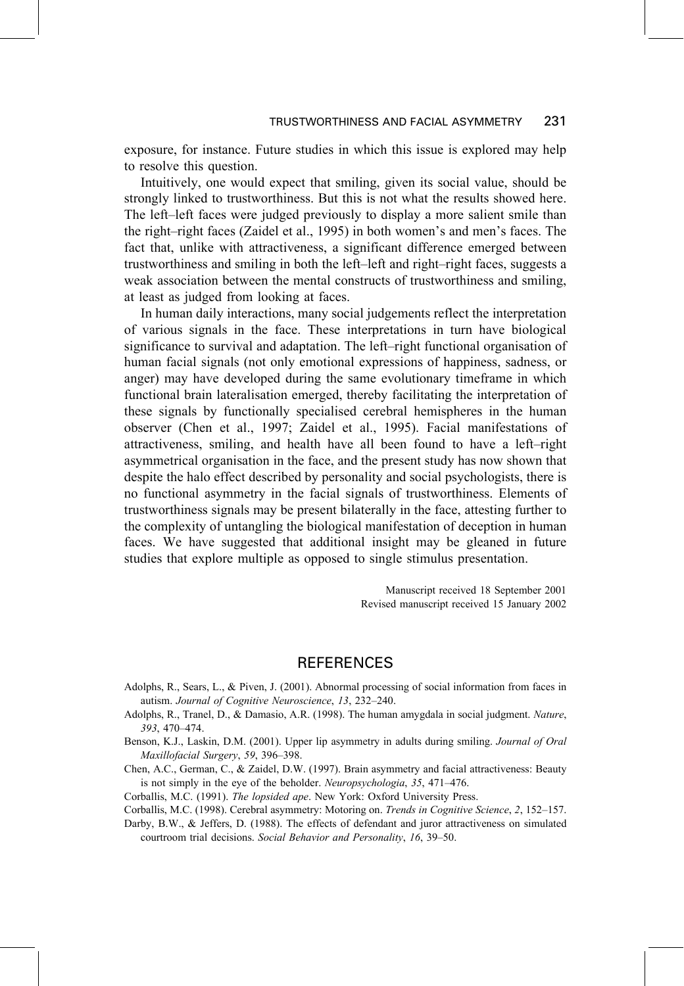exposure, for instance. Future studies in which this issue is explored may help to resolve this question.

Intuitively, one would expect that smiling, given its social value, should be strongly linked to trustworthiness. But this is not what the results showed here. The left-left faces were judged previously to display a more salient smile than the right-right faces (Zaidel et al., 1995) in both women's and men's faces. The fact that, unlike with attractiveness, a significant difference emerged between trustworthiness and smiling in both the left-left and right-right faces, suggests a weak association between the mental constructs of trustworthiness and smiling, at least as judged from looking at faces.

In human daily interactions, many social judgements reflect the interpretation of various signals in the face. These interpretations in turn have biological significance to survival and adaptation. The left–right functional organisation of human facial signals (not only emotional expressions of happiness, sadness, or anger) may have developed during the same evolutionary timeframe in which functional brain lateralisation emerged, thereby facilitating the interpretation of these signals by functionally specialised cerebral hemispheres in the human observer (Chen et al., 1997; Zaidel et al., 1995). Facial manifestations of attractiveness, smiling, and health have all been found to have a left-right asymmetrical organisation in the face, and the present study has now shown that despite the halo effect described by personality and social psychologists, there is no functional asymmetry in the facial signals of trustworthiness. Elements of trustworthiness signals may be present bilaterally in the face, attesting further to the complexity of untangling the biological manifestation of deception in human faces. We have suggested that additional insight may be gleaned in future studies that explore multiple as opposed to single stimulus presentation.

> Manuscript received 18 September 2001 Revised manuscript received 15 January 2002

### **REFERENCES**

- Adolphs, R., Sears, L., & Piven, J. (2001). Abnormal processing of social information from faces in autism. Journal of Cognitive Neuroscience, 13, 232-240.
- Adolphs, R., Tranel, D., & Damasio, A.R. (1998). The human amygdala in social judgment. Nature, 393, 470-474.
- Benson, K.J., Laskin, D.M. (2001). Upper lip asymmetry in adults during smiling. Journal of Oral Maxillofacial Surgery, 59, 396-398.
- Chen, A.C., German, C., & Zaidel, D.W. (1997). Brain asymmetry and facial attractiveness: Beauty is not simply in the eye of the beholder. Neuropsychologia, 35, 471-476.
- Corballis, M.C. (1991). The lopsided ape. New York: Oxford University Press.
- Corballis, M.C. (1998). Cerebral asymmetry: Motoring on. Trends in Cognitive Science, 2, 152-157.
- Darby, B.W., & Jeffers, D. (1988). The effects of defendant and juror attractiveness on simulated courtroom trial decisions. Social Behavior and Personality, 16, 39-50.